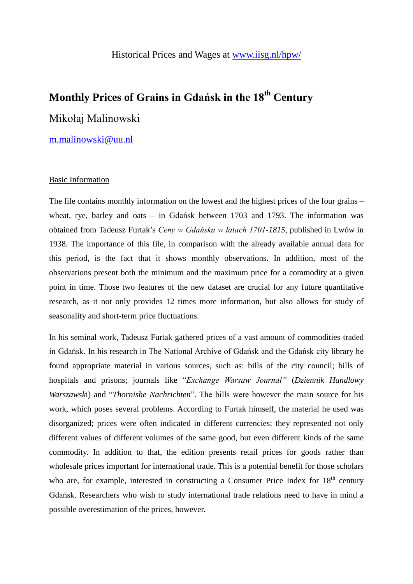# **Monthly Prices of Grains in Gdańsk in the 18th Century**

# Mikołaj Malinowski

## [m.malinowski@uu.nl](mailto:m.malinowski@uu.nl)

#### Basic Information

The file contains monthly information on the lowest and the highest prices of the four grains – wheat, rye, barley and oats – in Gdańsk between 1703 and 1793. The information was obtained from Tadeusz Furtak's *Ceny w Gdańsku w latach 1701-1815*, published in Lwów in 1938. The importance of this file, in comparison with the already available annual data for this period, is the fact that it shows monthly observations. In addition, most of the observations present both the minimum and the maximum price for a commodity at a given point in time. Those two features of the new dataset are crucial for any future quantitative research, as it not only provides 12 times more information, but also allows for study of seasonality and short-term price fluctuations.

In his seminal work, Tadeusz Furtak gathered prices of a vast amount of commodities traded in Gdańsk. In his research in The National Archive of Gdańsk and the Gdańsk city library he found appropriate material in various sources, such as: bills of the city council; bills of hospitals and prisons; journals like "*Exchange Warsaw Journal"* (*Dziennik Handlowy Warszawsk*i) and "*Thornishe Nachrichten*". The bills were however the main source for his work, which poses several problems. According to Furtak himself, the material he used was disorganized; prices were often indicated in different currencies; they represented not only different values of different volumes of the same good, but even different kinds of the same commodity. In addition to that, the edition presents retail prices for goods rather than wholesale prices important for international trade. This is a potential benefit for those scholars who are, for example, interested in constructing a Consumer Price Index for  $18<sup>th</sup>$  century Gdańsk. Researchers who wish to study international trade relations need to have in mind a possible overestimation of the prices, however.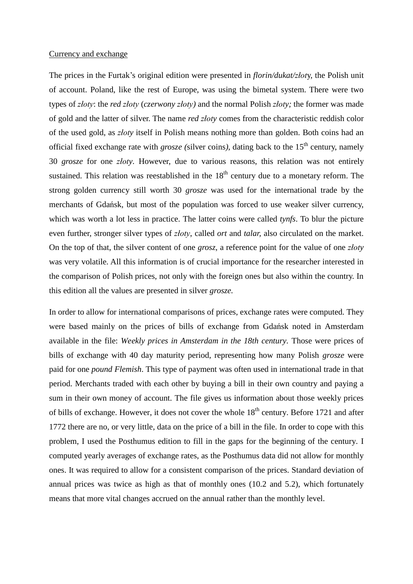#### Currency and exchange

The prices in the Furtak's original edition were presented in *florin/dukat/złot*y, the Polish unit of account. Poland, like the rest of Europe, was using the bimetal system. There were two types of *złoty*: the *red złoty* (*czerwony złoty)* and the normal Polish *złoty;* the former was made of gold and the latter of silver. The name *red złoty* comes from the characteristic reddish color of the used gold, as *złoty* itself in Polish means nothing more than golden. Both coins had an official fixed exchange rate with *grosze (*silver coins*)*, dating back to the 15th century, namely 30 *grosze* for one *złoty*. However, due to various reasons, this relation was not entirely sustained. This relation was reestablished in the  $18<sup>th</sup>$  century due to a monetary reform. The strong golden currency still worth 30 *grosze* was used for the international trade by the merchants of Gdańsk, but most of the population was forced to use weaker silver currency, which was worth a lot less in practice. The latter coins were called *tynfs*. To blur the picture even further, stronger silver types of *złoty*, called *ort* and *talar,* also circulated on the market. On the top of that, the silver content of one *grosz*, a reference point for the value of one *złoty* was very volatile. All this information is of crucial importance for the researcher interested in the comparison of Polish prices, not only with the foreign ones but also within the country. In this edition all the values are presented in silver *grosze.*

In order to allow for international comparisons of prices, exchange rates were computed. They were based mainly on the prices of bills of exchange from Gdańsk noted in Amsterdam available in the file: *Weekly prices in Amsterdam in the 18th century.* Those were prices of bills of exchange with 40 day maturity period, representing how many Polish *grosze* were paid for one *pound Flemish*. This type of payment was often used in international trade in that period. Merchants traded with each other by buying a bill in their own country and paying a sum in their own money of account. The file gives us information about those weekly prices of bills of exchange. However, it does not cover the whole  $18<sup>th</sup>$  century. Before 1721 and after 1772 there are no, or very little, data on the price of a bill in the file. In order to cope with this problem, I used the Posthumus edition to fill in the gaps for the beginning of the century. I computed yearly averages of exchange rates, as the Posthumus data did not allow for monthly ones. It was required to allow for a consistent comparison of the prices. Standard deviation of annual prices was twice as high as that of monthly ones (10.2 and 5.2), which fortunately means that more vital changes accrued on the annual rather than the monthly level.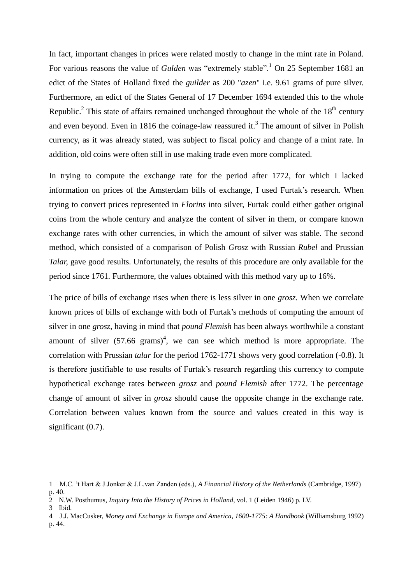In fact, important changes in prices were related mostly to change in the mint rate in Poland. For various reasons the value of *Gulden* was "extremely stable".<sup>1</sup> On 25 September 1681 an edict of the States of Holland fixed the *guilder* as 200 "*azen*" i.e. 9.61 grams of pure silver. Furthermore, an edict of the States General of 17 December 1694 extended this to the whole Republic.<sup>2</sup> This state of affairs remained unchanged throughout the whole of the  $18<sup>th</sup>$  century and even beyond. Even in 1816 the coinage-law reassured it.<sup>3</sup> The amount of silver in Polish currency, as it was already stated, was subject to fiscal policy and change of a mint rate. In addition, old coins were often still in use making trade even more complicated.

In trying to compute the exchange rate for the period after 1772, for which I lacked information on prices of the Amsterdam bills of exchange, I used Furtak's research. When trying to convert prices represented in *Florins* into silver, Furtak could either gather original coins from the whole century and analyze the content of silver in them, or compare known exchange rates with other currencies, in which the amount of silver was stable. The second method, which consisted of a comparison of Polish *Grosz* with Russian *Rubel* and Prussian *Talar,* gave good results. Unfortunately, the results of this procedure are only available for the period since 1761. Furthermore, the values obtained with this method vary up to 16%.

The price of bills of exchange rises when there is less silver in one *grosz.* When we correlate known prices of bills of exchange with both of Furtak's methods of computing the amount of silver in one *grosz*, having in mind that *pound Flemish* has been always worthwhile a constant amount of silver  $(57.66 \text{ grams})^4$ , we can see which method is more appropriate. The correlation with Prussian *talar* for the period 1762-1771 shows very good correlation (-0.8). It is therefore justifiable to use results of Furtak's research regarding this currency to compute hypothetical exchange rates between *grosz* and *pound Flemish* after 1772. The percentage change of amount of silver in *grosz* should cause the opposite change in the exchange rate. Correlation between values known from the source and values created in this way is significant  $(0.7)$ .

-

<sup>1</sup> M.C. 't Hart & J.Jonker & J.L.van Zanden (eds.), *A Financial History of the Netherlands* (Cambridge, 1997) p. 40.

<sup>2</sup> N.W. Posthumus, *Inquiry Into the History of Prices in Holland*, vol. 1 (Leiden 1946) p. LV.

<sup>3</sup> Ibid.

<sup>4</sup> J.J. MacCusker, *Money and Exchange in Europe and America, 1600-1775: A Handbook* (Williamsburg 1992) p. 44.